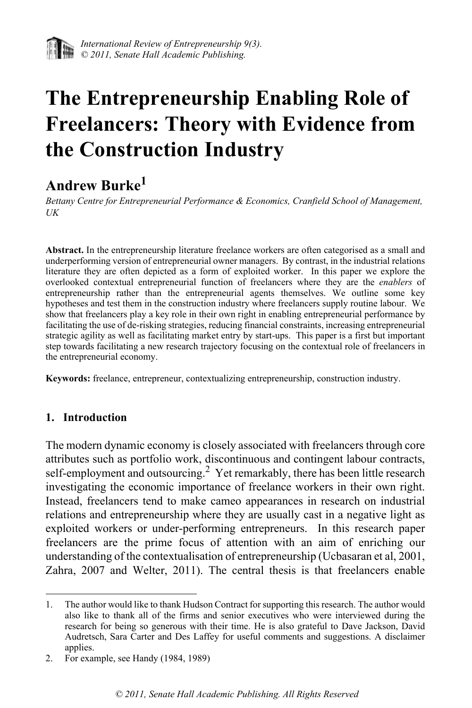

# **The Entrepreneurship Enabling Role of Freelancers: Theory with Evidence from the Construction Industry**

## **Andrew Burke1**

*Bettany Centre for Entrepreneurial Performance & Economics, Cranfield School of Management, UK*

**Abstract.** In the entrepreneurship literature freelance workers are often categorised as a small and underperforming version of entrepreneurial owner managers. By contrast, in the industrial relations literature they are often depicted as a form of exploited worker. In this paper we explore the overlooked contextual entrepreneurial function of freelancers where they are the *enablers* of entrepreneurship rather than the entrepreneurial agents themselves. We outline some key hypotheses and test them in the construction industry where freelancers supply routine labour. We show that freelancers play a key role in their own right in enabling entrepreneurial performance by facilitating the use of de-risking strategies, reducing financial constraints, increasing entrepreneurial strategic agility as well as facilitating market entry by start-ups. This paper is a first but important step towards facilitating a new research trajectory focusing on the contextual role of freelancers in the entrepreneurial economy.

**Keywords:** freelance, entrepreneur, contextualizing entrepreneurship, construction industry.

#### **1. Introduction**

The modern dynamic economy is closely associated with freelancers through core attributes such as portfolio work, discontinuous and contingent labour contracts, self-employment and outsourcing.<sup>2</sup> Yet remarkably, there has been little research investigating the economic importance of freelance workers in their own right. Instead, freelancers tend to make cameo appearances in research on industrial relations and entrepreneurship where they are usually cast in a negative light as exploited workers or under-performing entrepreneurs. In this research paper freelancers are the prime focus of attention with an aim of enriching our understanding of the contextualisation of entrepreneurship (Ucbasaran et al, 2001, Zahra, 2007 and Welter, 2011). The central thesis is that freelancers enable

<sup>1.</sup> The author would like to thank Hudson Contract for supporting this research. The author would also like to thank all of the firms and senior executives who were interviewed during the research for being so generous with their time. He is also grateful to Dave Jackson, David Audretsch, Sara Carter and Des Laffey for useful comments and suggestions. A disclaimer applies.

<sup>2.</sup> For example, see Handy (1984, 1989)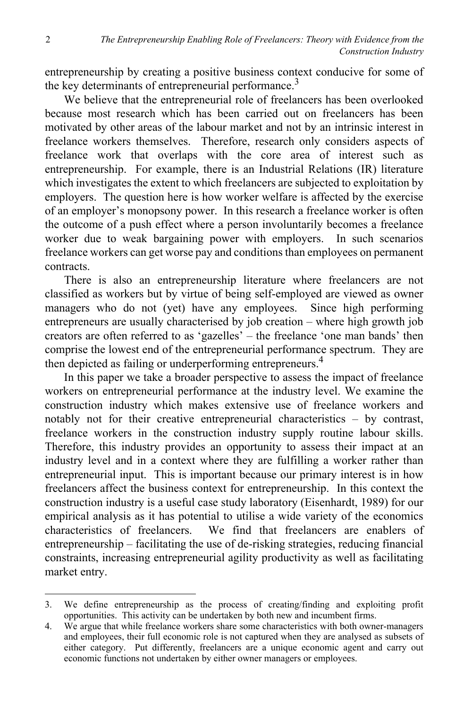entrepreneurship by creating a positive business context conducive for some of the key determinants of entrepreneurial performance.<sup>3</sup>

We believe that the entrepreneurial role of freelancers has been overlooked because most research which has been carried out on freelancers has been motivated by other areas of the labour market and not by an intrinsic interest in freelance workers themselves. Therefore, research only considers aspects of freelance work that overlaps with the core area of interest such as entrepreneurship. For example, there is an Industrial Relations (IR) literature which investigates the extent to which freelancers are subjected to exploitation by employers. The question here is how worker welfare is affected by the exercise of an employer's monopsony power. In this research a freelance worker is often the outcome of a push effect where a person involuntarily becomes a freelance worker due to weak bargaining power with employers. In such scenarios freelance workers can get worse pay and conditions than employees on permanent contracts.

There is also an entrepreneurship literature where freelancers are not classified as workers but by virtue of being self-employed are viewed as owner managers who do not (yet) have any employees. Since high performing entrepreneurs are usually characterised by job creation – where high growth job creators are often referred to as 'gazelles' – the freelance 'one man bands' then comprise the lowest end of the entrepreneurial performance spectrum. They are then depicted as failing or underperforming entrepreneurs.4

In this paper we take a broader perspective to assess the impact of freelance workers on entrepreneurial performance at the industry level. We examine the construction industry which makes extensive use of freelance workers and notably not for their creative entrepreneurial characteristics – by contrast, freelance workers in the construction industry supply routine labour skills. Therefore, this industry provides an opportunity to assess their impact at an industry level and in a context where they are fulfilling a worker rather than entrepreneurial input. This is important because our primary interest is in how freelancers affect the business context for entrepreneurship. In this context the construction industry is a useful case study laboratory (Eisenhardt, 1989) for our empirical analysis as it has potential to utilise a wide variety of the economics characteristics of freelancers. We find that freelancers are enablers of entrepreneurship – facilitating the use of de-risking strategies, reducing financial constraints, increasing entrepreneurial agility productivity as well as facilitating market entry.

<sup>3.</sup> We define entrepreneurship as the process of creating/finding and exploiting profit opportunities. This activity can be undertaken by both new and incumbent firms.

<sup>4.</sup> We argue that while freelance workers share some characteristics with both owner-managers and employees, their full economic role is not captured when they are analysed as subsets of either category. Put differently, freelancers are a unique economic agent and carry out economic functions not undertaken by either owner managers or employees.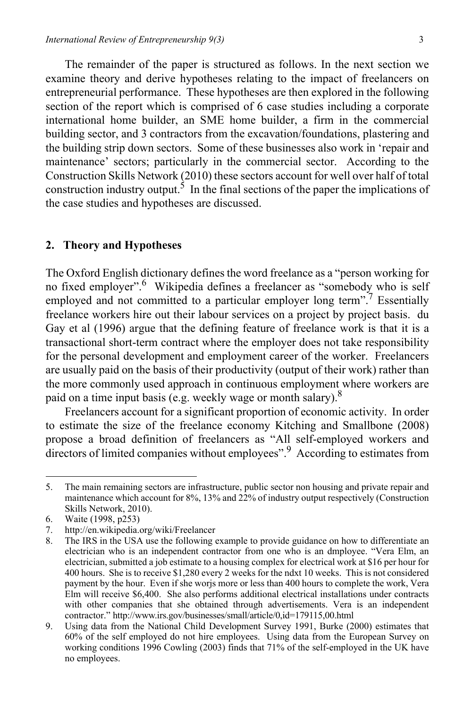The remainder of the paper is structured as follows. In the next section we examine theory and derive hypotheses relating to the impact of freelancers on entrepreneurial performance. These hypotheses are then explored in the following section of the report which is comprised of 6 case studies including a corporate international home builder, an SME home builder, a firm in the commercial building sector, and 3 contractors from the excavation/foundations, plastering and the building strip down sectors. Some of these businesses also work in 'repair and maintenance' sectors; particularly in the commercial sector. According to the Construction Skills Network (2010) these sectors account for well over half of total construction industry output.<sup>5</sup> In the final sections of the paper the implications of the case studies and hypotheses are discussed.

#### **2. Theory and Hypotheses**

The Oxford English dictionary defines the word freelance as a "person working for no fixed employer".<sup>6</sup> Wikipedia defines a freelancer as "somebody who is self employed and not committed to a particular employer long term".<sup>7</sup> Essentially freelance workers hire out their labour services on a project by project basis. du Gay et al (1996) argue that the defining feature of freelance work is that it is a transactional short-term contract where the employer does not take responsibility for the personal development and employment career of the worker. Freelancers are usually paid on the basis of their productivity (output of their work) rather than the more commonly used approach in continuous employment where workers are paid on a time input basis (e.g. weekly wage or month salary).<sup>8</sup>

Freelancers account for a significant proportion of economic activity. In order to estimate the size of the freelance economy Kitching and Smallbone (2008) propose a broad definition of freelancers as "All self-employed workers and directors of limited companies without employees".<sup>9</sup> According to estimates from

<sup>5.</sup> The main remaining sectors are infrastructure, public sector non housing and private repair and maintenance which account for 8%, 13% and 22% of industry output respectively (Construction Skills Network, 2010).

<sup>6.</sup> Waite (1998, p253)

<sup>7.</sup> http://en.wikipedia.org/wiki/Freelancer

<sup>8.</sup> The IRS in the USA use the following example to provide guidance on how to differentiate an electrician who is an independent contractor from one who is an dmployee. "Vera Elm, an electrician, submitted a job estimate to a housing complex for electrical work at \$16 per hour for 400 hours. She is to receive \$1,280 every 2 weeks for the ndxt 10 weeks. This is not considered payment by the hour. Even if she worjs more or less than 400 hours to complete the work, Vera Elm will receive \$6,400. She also performs additional electrical installations under contracts with other companies that she obtained through advertisements. Vera is an independent contractor." http://www.irs.gov/businesses/small/article/0,id=179115,00.html

<sup>9.</sup> Using data from the National Child Development Survey 1991, Burke (2000) estimates that 60% of the self employed do not hire employees. Using data from the European Survey on working conditions 1996 Cowling (2003) finds that 71% of the self-employed in the UK have no employees.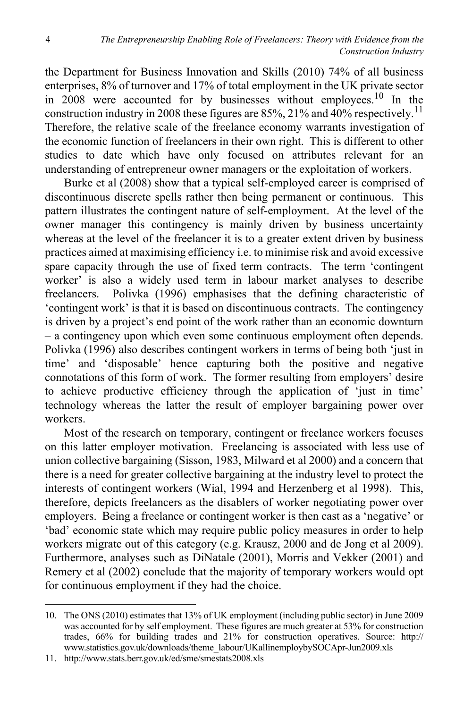the Department for Business Innovation and Skills (2010) 74% of all business enterprises, 8% of turnover and 17% of total employment in the UK private sector in 2008 were accounted for by businesses without employees.10 In the construction industry in 2008 these figures are 85%, 21% and  $40\%$  respectively.<sup>11</sup> Therefore, the relative scale of the freelance economy warrants investigation of the economic function of freelancers in their own right. This is different to other studies to date which have only focused on attributes relevant for an understanding of entrepreneur owner managers or the exploitation of workers.

Burke et al (2008) show that a typical self-employed career is comprised of discontinuous discrete spells rather then being permanent or continuous. This pattern illustrates the contingent nature of self-employment. At the level of the owner manager this contingency is mainly driven by business uncertainty whereas at the level of the freelancer it is to a greater extent driven by business practices aimed at maximising efficiency i.e. to minimise risk and avoid excessive spare capacity through the use of fixed term contracts. The term 'contingent worker' is also a widely used term in labour market analyses to describe freelancers. Polivka (1996) emphasises that the defining characteristic of 'contingent work' is that it is based on discontinuous contracts. The contingency is driven by a project's end point of the work rather than an economic downturn – a contingency upon which even some continuous employment often depends. Polivka (1996) also describes contingent workers in terms of being both 'just in time' and 'disposable' hence capturing both the positive and negative connotations of this form of work. The former resulting from employers' desire to achieve productive efficiency through the application of 'just in time' technology whereas the latter the result of employer bargaining power over workers.

Most of the research on temporary, contingent or freelance workers focuses on this latter employer motivation. Freelancing is associated with less use of union collective bargaining (Sisson, 1983, Milward et al 2000) and a concern that there is a need for greater collective bargaining at the industry level to protect the interests of contingent workers (Wial, 1994 and Herzenberg et al 1998). This, therefore, depicts freelancers as the disablers of worker negotiating power over employers. Being a freelance or contingent worker is then cast as a 'negative' or 'bad' economic state which may require public policy measures in order to help workers migrate out of this category (e.g. Krausz, 2000 and de Jong et al 2009). Furthermore, analyses such as DiNatale (2001), Morris and Vekker (2001) and Remery et al (2002) conclude that the majority of temporary workers would opt for continuous employment if they had the choice.

<sup>10.</sup> The ONS (2010) estimates that 13% of UK employment (including public sector) in June 2009 was accounted for by self employment. These figures are much greater at 53% for construction trades, 66% for building trades and 21% for construction operatives. Source: http:// www.statistics.gov.uk/downloads/theme\_labour/UKallinemploybySOCApr-Jun2009.xls

<sup>11.</sup> http://www.stats.berr.gov.uk/ed/sme/smestats2008.xls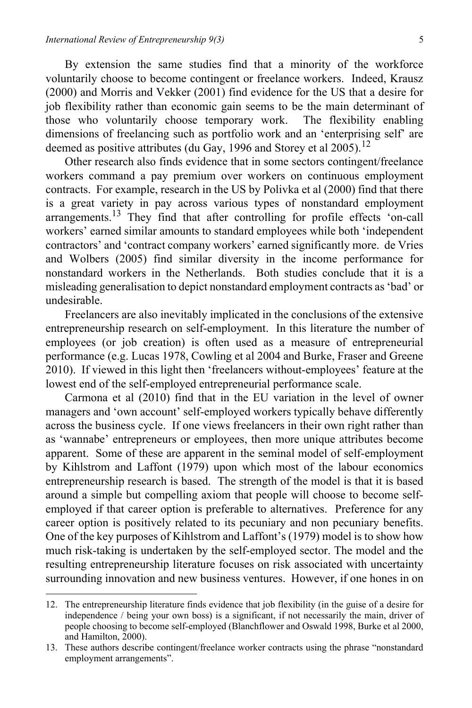By extension the same studies find that a minority of the workforce voluntarily choose to become contingent or freelance workers. Indeed, Krausz (2000) and Morris and Vekker (2001) find evidence for the US that a desire for job flexibility rather than economic gain seems to be the main determinant of those who voluntarily choose temporary work. The flexibility enabling dimensions of freelancing such as portfolio work and an 'enterprising self' are deemed as positive attributes (du Gay, 1996 and Storey et al 2005).<sup>12</sup>

Other research also finds evidence that in some sectors contingent/freelance workers command a pay premium over workers on continuous employment contracts. For example, research in the US by Polivka et al (2000) find that there is a great variety in pay across various types of nonstandard employment arrangements.13 They find that after controlling for profile effects 'on-call workers' earned similar amounts to standard employees while both 'independent contractors' and 'contract company workers' earned significantly more. de Vries and Wolbers (2005) find similar diversity in the income performance for nonstandard workers in the Netherlands. Both studies conclude that it is a misleading generalisation to depict nonstandard employment contracts as 'bad' or undesirable.

Freelancers are also inevitably implicated in the conclusions of the extensive entrepreneurship research on self-employment. In this literature the number of employees (or job creation) is often used as a measure of entrepreneurial performance (e.g. Lucas 1978, Cowling et al 2004 and Burke, Fraser and Greene 2010). If viewed in this light then 'freelancers without-employees' feature at the lowest end of the self-employed entrepreneurial performance scale.

Carmona et al (2010) find that in the EU variation in the level of owner managers and 'own account' self-employed workers typically behave differently across the business cycle. If one views freelancers in their own right rather than as 'wannabe' entrepreneurs or employees, then more unique attributes become apparent. Some of these are apparent in the seminal model of self-employment by Kihlstrom and Laffont (1979) upon which most of the labour economics entrepreneurship research is based. The strength of the model is that it is based around a simple but compelling axiom that people will choose to become selfemployed if that career option is preferable to alternatives. Preference for any career option is positively related to its pecuniary and non pecuniary benefits. One of the key purposes of Kihlstrom and Laffont's (1979) model is to show how much risk-taking is undertaken by the self-employed sector. The model and the resulting entrepreneurship literature focuses on risk associated with uncertainty surrounding innovation and new business ventures. However, if one hones in on

<sup>12.</sup> The entrepreneurship literature finds evidence that job flexibility (in the guise of a desire for independence / being your own boss) is a significant, if not necessarily the main, driver of people choosing to become self-employed (Blanchflower and Oswald 1998, Burke et al 2000, and Hamilton, 2000).

<sup>13.</sup> These authors describe contingent/freelance worker contracts using the phrase "nonstandard employment arrangements".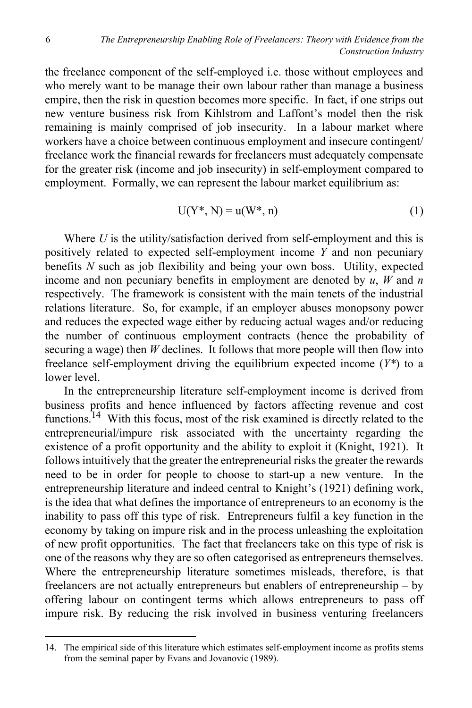the freelance component of the self-employed i.e. those without employees and who merely want to be manage their own labour rather than manage a business empire, then the risk in question becomes more specific. In fact, if one strips out new venture business risk from Kihlstrom and Laffont's model then the risk remaining is mainly comprised of job insecurity. In a labour market where workers have a choice between continuous employment and insecure contingent/ freelance work the financial rewards for freelancers must adequately compensate for the greater risk (income and job insecurity) in self-employment compared to employment. Formally, we can represent the labour market equilibrium as:

$$
U(Y^*, N) = u(W^*, n)
$$
\n<sup>(1)</sup>

Where *U* is the utility/satisfaction derived from self-employment and this is positively related to expected self-employment income *Y* and non pecuniary benefits *N* such as job flexibility and being your own boss. Utility, expected income and non pecuniary benefits in employment are denoted by *u*, *W* and *n* respectively. The framework is consistent with the main tenets of the industrial relations literature. So, for example, if an employer abuses monopsony power and reduces the expected wage either by reducing actual wages and/or reducing the number of continuous employment contracts (hence the probability of securing a wage) then *W* declines. It follows that more people will then flow into freelance self-employment driving the equilibrium expected income (*Y\**) to a lower level.

In the entrepreneurship literature self-employment income is derived from business profits and hence influenced by factors affecting revenue and cost functions.<sup>14</sup> With this focus, most of the risk examined is directly related to the entrepreneurial/impure risk associated with the uncertainty regarding the existence of a profit opportunity and the ability to exploit it (Knight, 1921). It follows intuitively that the greater the entrepreneurial risks the greater the rewards need to be in order for people to choose to start-up a new venture. In the entrepreneurship literature and indeed central to Knight's (1921) defining work, is the idea that what defines the importance of entrepreneurs to an economy is the inability to pass off this type of risk. Entrepreneurs fulfil a key function in the economy by taking on impure risk and in the process unleashing the exploitation of new profit opportunities. The fact that freelancers take on this type of risk is one of the reasons why they are so often categorised as entrepreneurs themselves. Where the entrepreneurship literature sometimes misleads, therefore, is that freelancers are not actually entrepreneurs but enablers of entrepreneurship – by offering labour on contingent terms which allows entrepreneurs to pass off impure risk. By reducing the risk involved in business venturing freelancers

<sup>14.</sup> The empirical side of this literature which estimates self-employment income as profits stems from the seminal paper by Evans and Jovanovic (1989).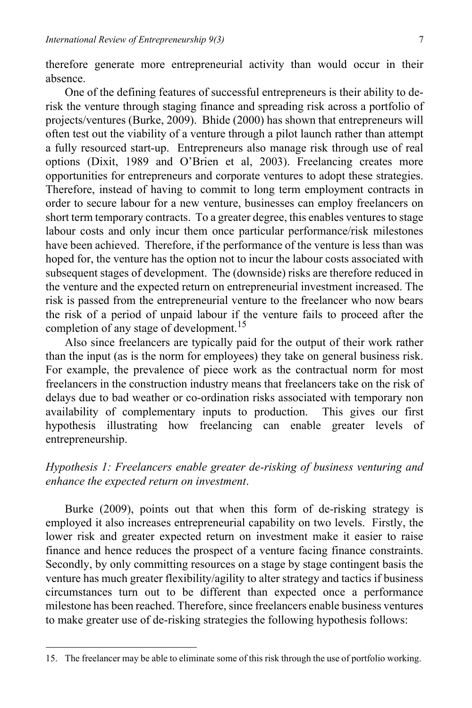therefore generate more entrepreneurial activity than would occur in their absence.

One of the defining features of successful entrepreneurs is their ability to derisk the venture through staging finance and spreading risk across a portfolio of projects/ventures (Burke, 2009). Bhide (2000) has shown that entrepreneurs will often test out the viability of a venture through a pilot launch rather than attempt a fully resourced start-up. Entrepreneurs also manage risk through use of real options (Dixit, 1989 and O'Brien et al, 2003). Freelancing creates more opportunities for entrepreneurs and corporate ventures to adopt these strategies. Therefore, instead of having to commit to long term employment contracts in order to secure labour for a new venture, businesses can employ freelancers on short term temporary contracts. To a greater degree, this enables ventures to stage labour costs and only incur them once particular performance/risk milestones have been achieved. Therefore, if the performance of the venture is less than was hoped for, the venture has the option not to incur the labour costs associated with subsequent stages of development. The (downside) risks are therefore reduced in the venture and the expected return on entrepreneurial investment increased. The risk is passed from the entrepreneurial venture to the freelancer who now bears the risk of a period of unpaid labour if the venture fails to proceed after the completion of any stage of development.<sup>15</sup>

Also since freelancers are typically paid for the output of their work rather than the input (as is the norm for employees) they take on general business risk. For example, the prevalence of piece work as the contractual norm for most freelancers in the construction industry means that freelancers take on the risk of delays due to bad weather or co-ordination risks associated with temporary non availability of complementary inputs to production. This gives our first hypothesis illustrating how freelancing can enable greater levels of entrepreneurship.

#### *Hypothesis 1: Freelancers enable greater de-risking of business venturing and enhance the expected return on investment*.

Burke (2009), points out that when this form of de-risking strategy is employed it also increases entrepreneurial capability on two levels. Firstly, the lower risk and greater expected return on investment make it easier to raise finance and hence reduces the prospect of a venture facing finance constraints. Secondly, by only committing resources on a stage by stage contingent basis the venture has much greater flexibility/agility to alter strategy and tactics if business circumstances turn out to be different than expected once a performance milestone has been reached. Therefore, since freelancers enable business ventures to make greater use of de-risking strategies the following hypothesis follows:

<sup>15.</sup> The freelancer may be able to eliminate some of this risk through the use of portfolio working.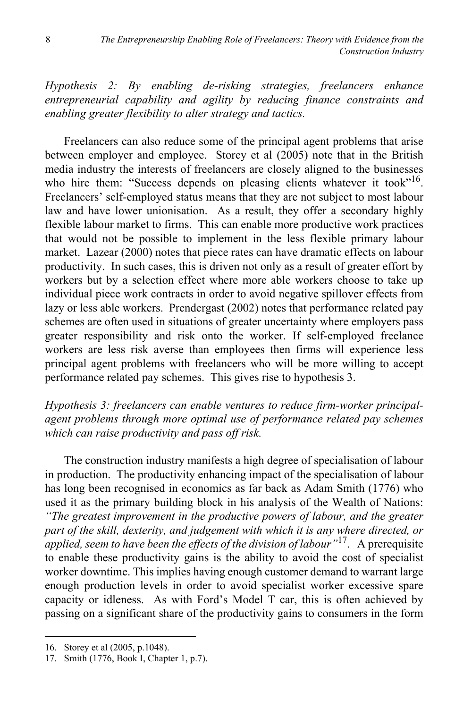*Hypothesis 2: By enabling de-risking strategies, freelancers enhance entrepreneurial capability and agility by reducing finance constraints and enabling greater flexibility to alter strategy and tactics.*

Freelancers can also reduce some of the principal agent problems that arise between employer and employee. Storey et al (2005) note that in the British media industry the interests of freelancers are closely aligned to the businesses who hire them: "Success depends on pleasing clients whatever it took"<sup>16</sup>. Freelancers' self-employed status means that they are not subject to most labour law and have lower unionisation. As a result, they offer a secondary highly flexible labour market to firms. This can enable more productive work practices that would not be possible to implement in the less flexible primary labour market. Lazear (2000) notes that piece rates can have dramatic effects on labour productivity. In such cases, this is driven not only as a result of greater effort by workers but by a selection effect where more able workers choose to take up individual piece work contracts in order to avoid negative spillover effects from lazy or less able workers. Prendergast (2002) notes that performance related pay schemes are often used in situations of greater uncertainty where employers pass greater responsibility and risk onto the worker. If self-employed freelance workers are less risk averse than employees then firms will experience less principal agent problems with freelancers who will be more willing to accept performance related pay schemes. This gives rise to hypothesis 3.

*Hypothesis 3: freelancers can enable ventures to reduce firm-worker principalagent problems through more optimal use of performance related pay schemes which can raise productivity and pass off risk.* 

The construction industry manifests a high degree of specialisation of labour in production. The productivity enhancing impact of the specialisation of labour has long been recognised in economics as far back as Adam Smith (1776) who used it as the primary building block in his analysis of the Wealth of Nations: *"The greatest improvement in the productive powers of labour, and the greater part of the skill, dexterity, and judgement with which it is any where directed, or applied, seem to have been the effects of the division of labour"*17. A prerequisite to enable these productivity gains is the ability to avoid the cost of specialist worker downtime. This implies having enough customer demand to warrant large enough production levels in order to avoid specialist worker excessive spare capacity or idleness. As with Ford's Model T car, this is often achieved by passing on a significant share of the productivity gains to consumers in the form

<sup>16.</sup> Storey et al (2005, p.1048).

<sup>17.</sup> Smith (1776, Book I, Chapter 1, p.7).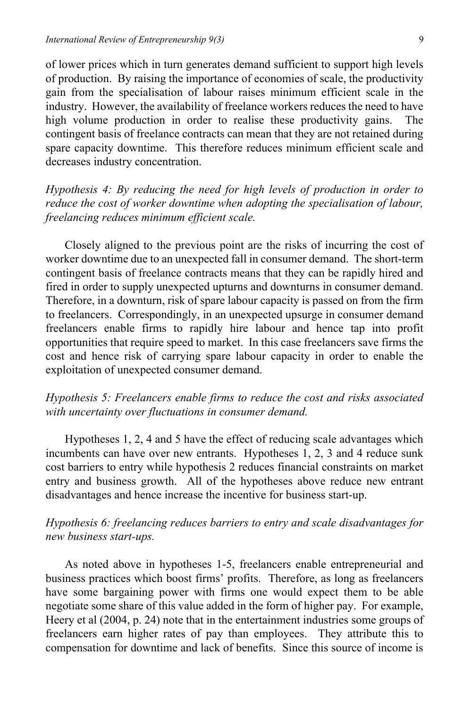of lower prices which in turn generates demand sufficient to support high levels of production. By raising the importance of economies of scale, the productivity gain from the specialisation of labour raises minimum efficient scale in the industry. However, the availability of freelance workers reduces the need to have high volume production in order to realise these productivity gains. The contingent basis of freelance contracts can mean that they are not retained during spare capacity downtime. This therefore reduces minimum efficient scale and decreases industry concentration.

*Hypothesis 4: By reducing the need for high levels of production in order to reduce the cost of worker downtime when adopting the specialisation of labour, freelancing reduces minimum efficient scale.* 

Closely aligned to the previous point are the risks of incurring the cost of worker downtime due to an unexpected fall in consumer demand. The short-term contingent basis of freelance contracts means that they can be rapidly hired and fired in order to supply unexpected upturns and downturns in consumer demand. Therefore, in a downturn, risk of spare labour capacity is passed on from the firm to freelancers. Correspondingly, in an unexpected upsurge in consumer demand freelancers enable firms to rapidly hire labour and hence tap into profit opportunities that require speed to market. In this case freelancers save firms the cost and hence risk of carrying spare labour capacity in order to enable the exploitation of unexpected consumer demand.

#### *Hypothesis 5: Freelancers enable firms to reduce the cost and risks associated with uncertainty over fluctuations in consumer demand.*

Hypotheses 1, 2, 4 and 5 have the effect of reducing scale advantages which incumbents can have over new entrants. Hypotheses 1, 2, 3 and 4 reduce sunk cost barriers to entry while hypothesis 2 reduces financial constraints on market entry and business growth. All of the hypotheses above reduce new entrant disadvantages and hence increase the incentive for business start-up.

## *Hypothesis 6: freelancing reduces barriers to entry and scale disadvantages for new business start-ups.*

As noted above in hypotheses 1-5, freelancers enable entrepreneurial and business practices which boost firms' profits. Therefore, as long as freelancers have some bargaining power with firms one would expect them to be able negotiate some share of this value added in the form of higher pay. For example, Heery et al (2004, p. 24) note that in the entertainment industries some groups of freelancers earn higher rates of pay than employees. They attribute this to compensation for downtime and lack of benefits. Since this source of income is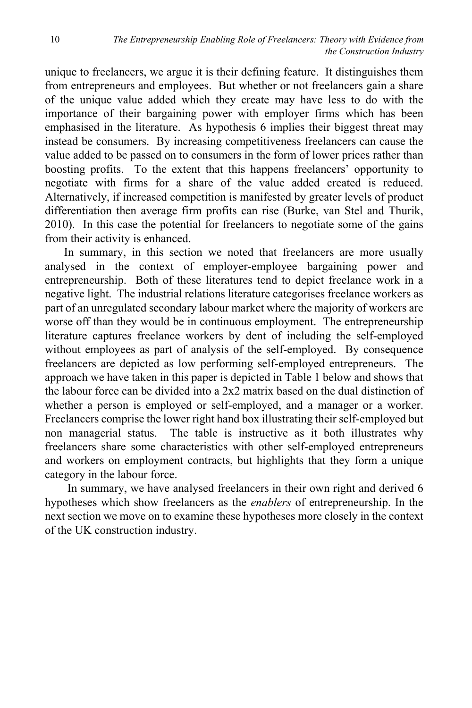unique to freelancers, we argue it is their defining feature. It distinguishes them from entrepreneurs and employees. But whether or not freelancers gain a share of the unique value added which they create may have less to do with the importance of their bargaining power with employer firms which has been emphasised in the literature. As hypothesis 6 implies their biggest threat may instead be consumers. By increasing competitiveness freelancers can cause the value added to be passed on to consumers in the form of lower prices rather than boosting profits. To the extent that this happens freelancers' opportunity to negotiate with firms for a share of the value added created is reduced. Alternatively, if increased competition is manifested by greater levels of product differentiation then average firm profits can rise (Burke, van Stel and Thurik, 2010). In this case the potential for freelancers to negotiate some of the gains from their activity is enhanced.

In summary, in this section we noted that freelancers are more usually analysed in the context of employer-employee bargaining power and entrepreneurship. Both of these literatures tend to depict freelance work in a negative light. The industrial relations literature categorises freelance workers as part of an unregulated secondary labour market where the majority of workers are worse off than they would be in continuous employment. The entrepreneurship literature captures freelance workers by dent of including the self-employed without employees as part of analysis of the self-employed. By consequence freelancers are depicted as low performing self-employed entrepreneurs. The approach we have taken in this paper is depicted in Table 1 below and shows that the labour force can be divided into a 2x2 matrix based on the dual distinction of whether a person is employed or self-employed, and a manager or a worker. Freelancers comprise the lower right hand box illustrating their self-employed but non managerial status. The table is instructive as it both illustrates why freelancers share some characteristics with other self-employed entrepreneurs and workers on employment contracts, but highlights that they form a unique category in the labour force.

 In summary, we have analysed freelancers in their own right and derived 6 hypotheses which show freelancers as the *enablers* of entrepreneurship. In the next section we move on to examine these hypotheses more closely in the context of the UK construction industry.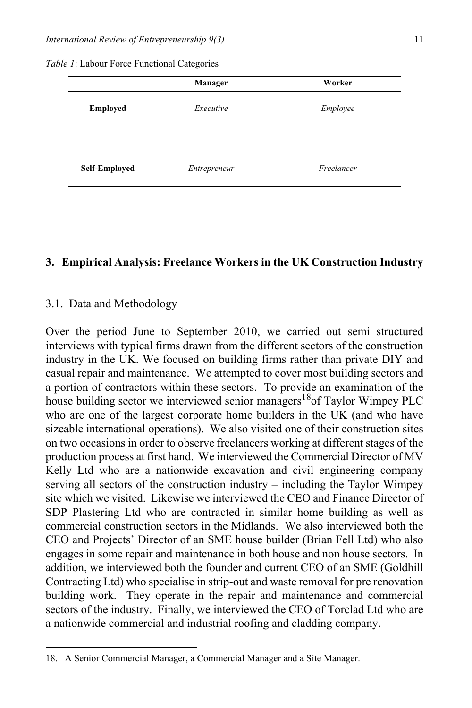*Table 1*: Labour Force Functional Categories

|                 | <b>Manager</b> | Worker     |  |
|-----------------|----------------|------------|--|
| <b>Employed</b> | Executive      | Employee   |  |
|                 |                |            |  |
| Self-Employed   | Entrepreneur   | Freelancer |  |

#### **3. Empirical Analysis: Freelance Workers in the UK Construction Industry**

#### 3.1. Data and Methodology

Over the period June to September 2010, we carried out semi structured interviews with typical firms drawn from the different sectors of the construction industry in the UK. We focused on building firms rather than private DIY and casual repair and maintenance. We attempted to cover most building sectors and a portion of contractors within these sectors. To provide an examination of the house building sector we interviewed senior managers<sup>18</sup> of Taylor Wimpey PLC who are one of the largest corporate home builders in the UK (and who have sizeable international operations). We also visited one of their construction sites on two occasions in order to observe freelancers working at different stages of the production process at first hand. We interviewed the Commercial Director of MV Kelly Ltd who are a nationwide excavation and civil engineering company serving all sectors of the construction industry – including the Taylor Wimpey site which we visited. Likewise we interviewed the CEO and Finance Director of SDP Plastering Ltd who are contracted in similar home building as well as commercial construction sectors in the Midlands. We also interviewed both the CEO and Projects' Director of an SME house builder (Brian Fell Ltd) who also engages in some repair and maintenance in both house and non house sectors. In addition, we interviewed both the founder and current CEO of an SME (Goldhill Contracting Ltd) who specialise in strip-out and waste removal for pre renovation building work. They operate in the repair and maintenance and commercial sectors of the industry. Finally, we interviewed the CEO of Torclad Ltd who are a nationwide commercial and industrial roofing and cladding company.

<sup>18.</sup> A Senior Commercial Manager, a Commercial Manager and a Site Manager.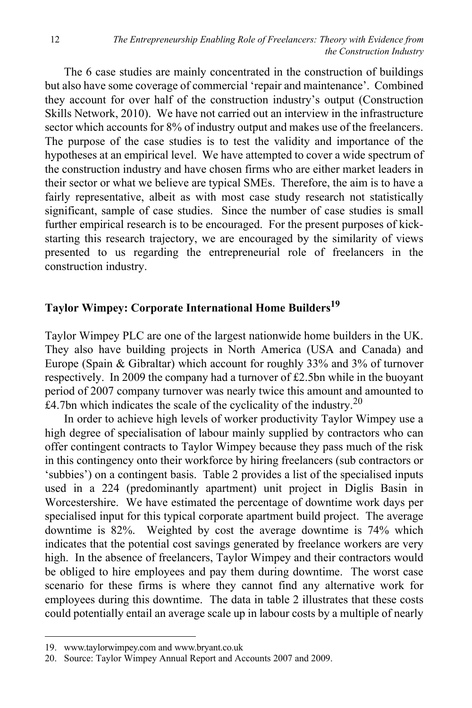The 6 case studies are mainly concentrated in the construction of buildings but also have some coverage of commercial 'repair and maintenance'. Combined they account for over half of the construction industry's output (Construction Skills Network, 2010). We have not carried out an interview in the infrastructure sector which accounts for 8% of industry output and makes use of the freelancers. The purpose of the case studies is to test the validity and importance of the hypotheses at an empirical level. We have attempted to cover a wide spectrum of the construction industry and have chosen firms who are either market leaders in their sector or what we believe are typical SMEs. Therefore, the aim is to have a fairly representative, albeit as with most case study research not statistically significant, sample of case studies. Since the number of case studies is small further empirical research is to be encouraged. For the present purposes of kickstarting this research trajectory, we are encouraged by the similarity of views presented to us regarding the entrepreneurial role of freelancers in the construction industry.

## **Taylor Wimpey: Corporate International Home Builders19**

Taylor Wimpey PLC are one of the largest nationwide home builders in the UK. They also have building projects in North America (USA and Canada) and Europe (Spain & Gibraltar) which account for roughly 33% and 3% of turnover respectively. In 2009 the company had a turnover of £2.5bn while in the buoyant period of 2007 company turnover was nearly twice this amount and amounted to £4.7bn which indicates the scale of the cyclicality of the industry. $^{20}$ 

In order to achieve high levels of worker productivity Taylor Wimpey use a high degree of specialisation of labour mainly supplied by contractors who can offer contingent contracts to Taylor Wimpey because they pass much of the risk in this contingency onto their workforce by hiring freelancers (sub contractors or 'subbies') on a contingent basis. Table 2 provides a list of the specialised inputs used in a 224 (predominantly apartment) unit project in Diglis Basin in Worcestershire. We have estimated the percentage of downtime work days per specialised input for this typical corporate apartment build project. The average downtime is 82%. Weighted by cost the average downtime is 74% which indicates that the potential cost savings generated by freelance workers are very high. In the absence of freelancers, Taylor Wimpey and their contractors would be obliged to hire employees and pay them during downtime. The worst case scenario for these firms is where they cannot find any alternative work for employees during this downtime. The data in table 2 illustrates that these costs could potentially entail an average scale up in labour costs by a multiple of nearly

<sup>19.</sup> www.taylorwimpey.com and www.bryant.co.uk

<sup>20.</sup> Source: Taylor Wimpey Annual Report and Accounts 2007 and 2009.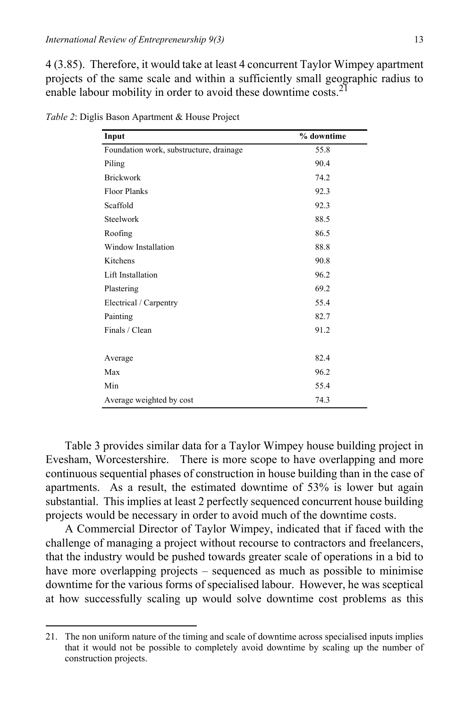4 (3.85). Therefore, it would take at least 4 concurrent Taylor Wimpey apartment projects of the same scale and within a sufficiently small geographic radius to enable labour mobility in order to avoid these downtime costs.<sup>21</sup>

| Input                                   | % downtime |
|-----------------------------------------|------------|
| Foundation work, substructure, drainage | 55.8       |
| Piling                                  | 90.4       |
| <b>Brickwork</b>                        | 74.2       |
| <b>Floor Planks</b>                     | 92.3       |
| Scaffold                                | 92.3       |
| Steelwork                               | 88.5       |
| Roofing                                 | 86.5       |
| <b>Window Installation</b>              | 88.8       |
| Kitchens                                | 90.8       |
| Lift Installation                       | 96.2       |
| Plastering                              | 69.2       |
| Electrical / Carpentry                  | 55.4       |
| Painting                                | 82.7       |
| Finals / Clean                          | 91.2       |
|                                         |            |
| Average                                 | 82.4       |
| Max                                     | 96.2       |
| Min                                     | 55.4       |
| Average weighted by cost                | 74.3       |

*Table 2*: Diglis Bason Apartment & House Project

Table 3 provides similar data for a Taylor Wimpey house building project in Evesham, Worcestershire. There is more scope to have overlapping and more continuous sequential phases of construction in house building than in the case of apartments. As a result, the estimated downtime of 53% is lower but again substantial. This implies at least 2 perfectly sequenced concurrent house building projects would be necessary in order to avoid much of the downtime costs.

A Commercial Director of Taylor Wimpey, indicated that if faced with the challenge of managing a project without recourse to contractors and freelancers, that the industry would be pushed towards greater scale of operations in a bid to have more overlapping projects – sequenced as much as possible to minimise downtime for the various forms of specialised labour. However, he was sceptical at how successfully scaling up would solve downtime cost problems as this

<sup>21.</sup> The non uniform nature of the timing and scale of downtime across specialised inputs implies that it would not be possible to completely avoid downtime by scaling up the number of construction projects.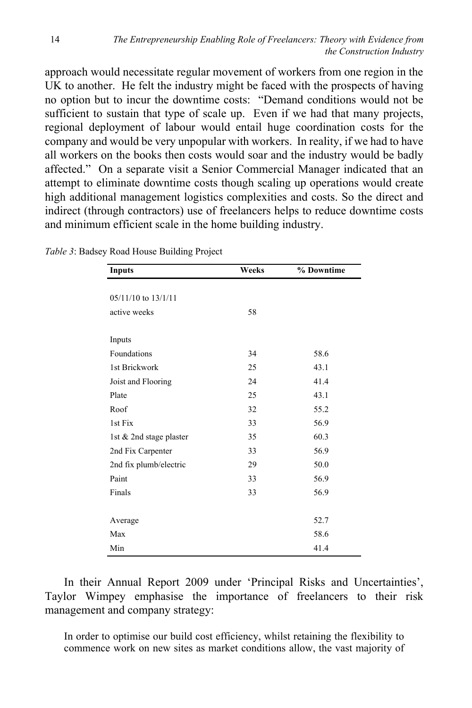approach would necessitate regular movement of workers from one region in the UK to another. He felt the industry might be faced with the prospects of having no option but to incur the downtime costs: "Demand conditions would not be sufficient to sustain that type of scale up. Even if we had that many projects, regional deployment of labour would entail huge coordination costs for the company and would be very unpopular with workers. In reality, if we had to have all workers on the books then costs would soar and the industry would be badly affected." On a separate visit a Senior Commercial Manager indicated that an attempt to eliminate downtime costs though scaling up operations would create high additional management logistics complexities and costs. So the direct and indirect (through contractors) use of freelancers helps to reduce downtime costs and minimum efficient scale in the home building industry.

| Inputs                  | Weeks | % Downtime |  |
|-------------------------|-------|------------|--|
|                         |       |            |  |
| 05/11/10 to 13/1/11     |       |            |  |
| active weeks            | 58    |            |  |
|                         |       |            |  |
| Inputs                  |       |            |  |
| Foundations             | 34    | 58.6       |  |
| 1st Brickwork           | 25    | 43.1       |  |
| Joist and Flooring      | 24    | 41.4       |  |
| Plate                   | 25    | 43.1       |  |
| Roof                    | 32    | 55.2       |  |
| 1st Fix                 | 33    | 56.9       |  |
| 1st & 2nd stage plaster | 35    | 60.3       |  |
| 2nd Fix Carpenter       | 33    | 56.9       |  |
| 2nd fix plumb/electric  | 29    | 50.0       |  |
| Paint                   | 33    | 56.9       |  |
| Finals                  | 33    | 56.9       |  |
|                         |       |            |  |
| Average                 |       | 52.7       |  |
| Max                     |       | 58.6       |  |
| Min                     |       | 41.4       |  |

*Table 3*: Badsey Road House Building Project

In their Annual Report 2009 under 'Principal Risks and Uncertainties', Taylor Wimpey emphasise the importance of freelancers to their risk management and company strategy:

In order to optimise our build cost efficiency, whilst retaining the flexibility to commence work on new sites as market conditions allow, the vast majority of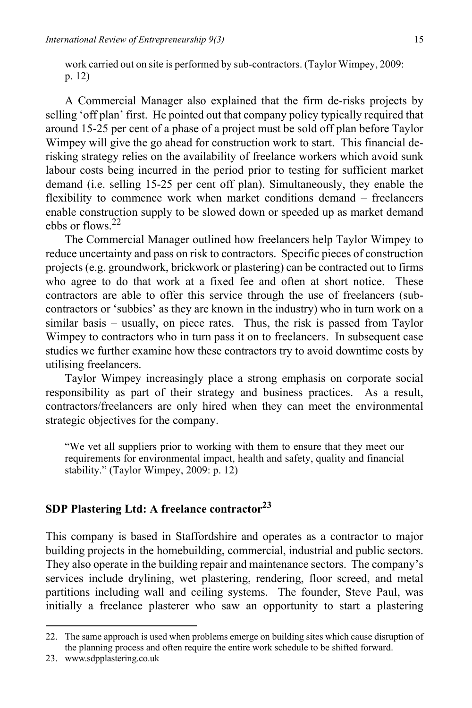work carried out on site is performed by sub-contractors. (Taylor Wimpey, 2009: p. 12)

A Commercial Manager also explained that the firm de-risks projects by selling 'off plan' first. He pointed out that company policy typically required that around 15-25 per cent of a phase of a project must be sold off plan before Taylor Wimpey will give the go ahead for construction work to start. This financial derisking strategy relies on the availability of freelance workers which avoid sunk labour costs being incurred in the period prior to testing for sufficient market demand (i.e. selling 15-25 per cent off plan). Simultaneously, they enable the flexibility to commence work when market conditions demand – freelancers enable construction supply to be slowed down or speeded up as market demand ebbs or flows.22

The Commercial Manager outlined how freelancers help Taylor Wimpey to reduce uncertainty and pass on risk to contractors. Specific pieces of construction projects (e.g. groundwork, brickwork or plastering) can be contracted out to firms who agree to do that work at a fixed fee and often at short notice. These contractors are able to offer this service through the use of freelancers (subcontractors or 'subbies' as they are known in the industry) who in turn work on a similar basis – usually, on piece rates. Thus, the risk is passed from Taylor Wimpey to contractors who in turn pass it on to freelancers. In subsequent case studies we further examine how these contractors try to avoid downtime costs by utilising freelancers.

Taylor Wimpey increasingly place a strong emphasis on corporate social responsibility as part of their strategy and business practices. As a result, contractors/freelancers are only hired when they can meet the environmental strategic objectives for the company.

"We vet all suppliers prior to working with them to ensure that they meet our requirements for environmental impact, health and safety, quality and financial stability." (Taylor Wimpey, 2009: p. 12)

#### **SDP Plastering Ltd: A freelance contractor23**

This company is based in Staffordshire and operates as a contractor to major building projects in the homebuilding, commercial, industrial and public sectors. They also operate in the building repair and maintenance sectors. The company's services include drylining, wet plastering, rendering, floor screed, and metal partitions including wall and ceiling systems. The founder, Steve Paul, was initially a freelance plasterer who saw an opportunity to start a plastering

<sup>22.</sup> The same approach is used when problems emerge on building sites which cause disruption of the planning process and often require the entire work schedule to be shifted forward.

<sup>23.</sup> www.sdpplastering.co.uk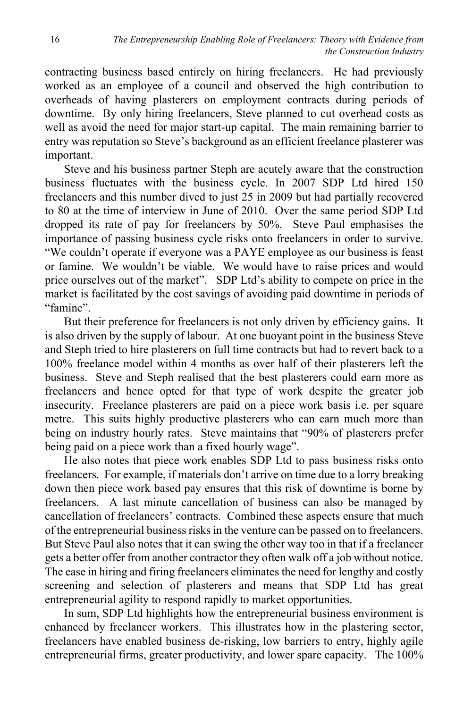contracting business based entirely on hiring freelancers. He had previously worked as an employee of a council and observed the high contribution to overheads of having plasterers on employment contracts during periods of downtime. By only hiring freelancers, Steve planned to cut overhead costs as well as avoid the need for major start-up capital. The main remaining barrier to entry was reputation so Steve's background as an efficient freelance plasterer was important.

Steve and his business partner Steph are acutely aware that the construction business fluctuates with the business cycle. In 2007 SDP Ltd hired 150 freelancers and this number dived to just 25 in 2009 but had partially recovered to 80 at the time of interview in June of 2010. Over the same period SDP Ltd dropped its rate of pay for freelancers by 50%. Steve Paul emphasises the importance of passing business cycle risks onto freelancers in order to survive. "We couldn't operate if everyone was a PAYE employee as our business is feast or famine. We wouldn't be viable. We would have to raise prices and would price ourselves out of the market". SDP Ltd's ability to compete on price in the market is facilitated by the cost savings of avoiding paid downtime in periods of "famine".

But their preference for freelancers is not only driven by efficiency gains. It is also driven by the supply of labour. At one buoyant point in the business Steve and Steph tried to hire plasterers on full time contracts but had to revert back to a 100% freelance model within 4 months as over half of their plasterers left the business. Steve and Steph realised that the best plasterers could earn more as freelancers and hence opted for that type of work despite the greater job insecurity. Freelance plasterers are paid on a piece work basis i.e. per square metre. This suits highly productive plasterers who can earn much more than being on industry hourly rates. Steve maintains that "90% of plasterers prefer being paid on a piece work than a fixed hourly wage".

He also notes that piece work enables SDP Ltd to pass business risks onto freelancers. For example, if materials don't arrive on time due to a lorry breaking down then piece work based pay ensures that this risk of downtime is borne by freelancers. A last minute cancellation of business can also be managed by cancellation of freelancers' contracts. Combined these aspects ensure that much of the entrepreneurial business risks in the venture can be passed on to freelancers. But Steve Paul also notes that it can swing the other way too in that if a freelancer gets a better offer from another contractor they often walk off a job without notice. The ease in hiring and firing freelancers eliminates the need for lengthy and costly screening and selection of plasterers and means that SDP Ltd has great entrepreneurial agility to respond rapidly to market opportunities.

In sum, SDP Ltd highlights how the entrepreneurial business environment is enhanced by freelancer workers. This illustrates how in the plastering sector, freelancers have enabled business de-risking, low barriers to entry, highly agile entrepreneurial firms, greater productivity, and lower spare capacity. The 100%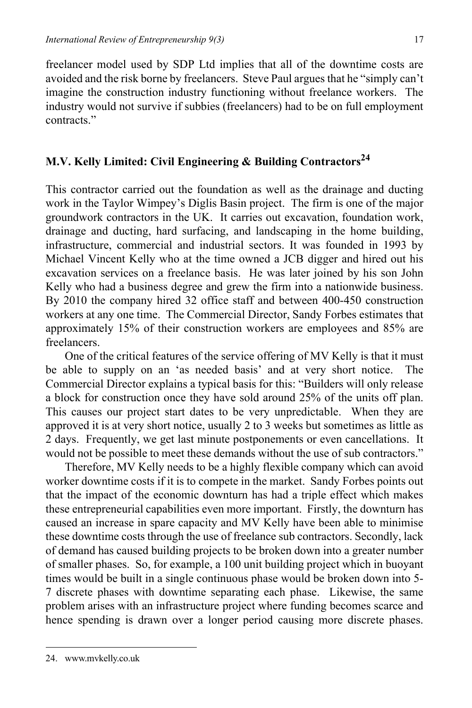freelancer model used by SDP Ltd implies that all of the downtime costs are avoided and the risk borne by freelancers. Steve Paul argues that he "simply can't imagine the construction industry functioning without freelance workers. The industry would not survive if subbies (freelancers) had to be on full employment contracts."

## **M.V. Kelly Limited: Civil Engineering & Building Contractors24**

This contractor carried out the foundation as well as the drainage and ducting work in the Taylor Wimpey's Diglis Basin project. The firm is one of the major groundwork contractors in the UK. It carries out excavation, foundation work, drainage and ducting, hard surfacing, and landscaping in the home building, infrastructure, commercial and industrial sectors. It was founded in 1993 by Michael Vincent Kelly who at the time owned a JCB digger and hired out his excavation services on a freelance basis. He was later joined by his son John Kelly who had a business degree and grew the firm into a nationwide business. By 2010 the company hired 32 office staff and between 400-450 construction workers at any one time. The Commercial Director, Sandy Forbes estimates that approximately 15% of their construction workers are employees and 85% are freelancers.

One of the critical features of the service offering of MV Kelly is that it must be able to supply on an 'as needed basis' and at very short notice. The Commercial Director explains a typical basis for this: "Builders will only release a block for construction once they have sold around 25% of the units off plan. This causes our project start dates to be very unpredictable. When they are approved it is at very short notice, usually 2 to 3 weeks but sometimes as little as 2 days. Frequently, we get last minute postponements or even cancellations. It would not be possible to meet these demands without the use of sub contractors."

Therefore, MV Kelly needs to be a highly flexible company which can avoid worker downtime costs if it is to compete in the market. Sandy Forbes points out that the impact of the economic downturn has had a triple effect which makes these entrepreneurial capabilities even more important. Firstly, the downturn has caused an increase in spare capacity and MV Kelly have been able to minimise these downtime costs through the use of freelance sub contractors. Secondly, lack of demand has caused building projects to be broken down into a greater number of smaller phases. So, for example, a 100 unit building project which in buoyant times would be built in a single continuous phase would be broken down into 5- 7 discrete phases with downtime separating each phase. Likewise, the same problem arises with an infrastructure project where funding becomes scarce and hence spending is drawn over a longer period causing more discrete phases.

<sup>24.</sup> www.mvkelly.co.uk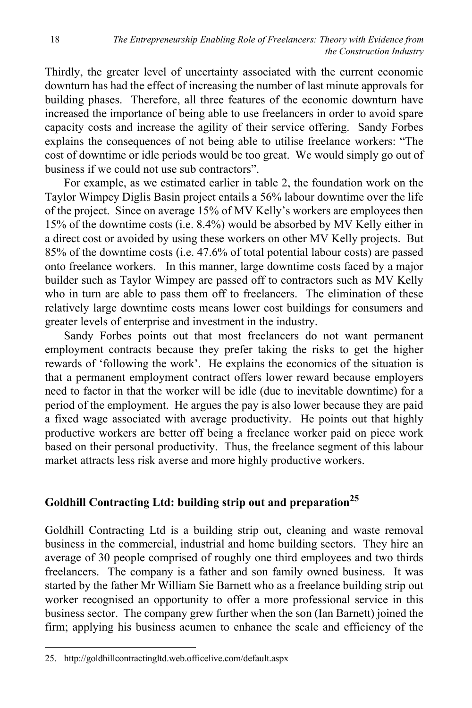Thirdly, the greater level of uncertainty associated with the current economic downturn has had the effect of increasing the number of last minute approvals for building phases. Therefore, all three features of the economic downturn have increased the importance of being able to use freelancers in order to avoid spare capacity costs and increase the agility of their service offering. Sandy Forbes explains the consequences of not being able to utilise freelance workers: "The cost of downtime or idle periods would be too great. We would simply go out of business if we could not use sub contractors".

For example, as we estimated earlier in table 2, the foundation work on the Taylor Wimpey Diglis Basin project entails a 56% labour downtime over the life of the project. Since on average 15% of MV Kelly's workers are employees then 15% of the downtime costs (i.e. 8.4%) would be absorbed by MV Kelly either in a direct cost or avoided by using these workers on other MV Kelly projects. But 85% of the downtime costs (i.e. 47.6% of total potential labour costs) are passed onto freelance workers. In this manner, large downtime costs faced by a major builder such as Taylor Wimpey are passed off to contractors such as MV Kelly who in turn are able to pass them off to freelancers. The elimination of these relatively large downtime costs means lower cost buildings for consumers and greater levels of enterprise and investment in the industry.

Sandy Forbes points out that most freelancers do not want permanent employment contracts because they prefer taking the risks to get the higher rewards of 'following the work'. He explains the economics of the situation is that a permanent employment contract offers lower reward because employers need to factor in that the worker will be idle (due to inevitable downtime) for a period of the employment. He argues the pay is also lower because they are paid a fixed wage associated with average productivity. He points out that highly productive workers are better off being a freelance worker paid on piece work based on their personal productivity. Thus, the freelance segment of this labour market attracts less risk averse and more highly productive workers.

## **Goldhill Contracting Ltd: building strip out and preparation25**

Goldhill Contracting Ltd is a building strip out, cleaning and waste removal business in the commercial, industrial and home building sectors. They hire an average of 30 people comprised of roughly one third employees and two thirds freelancers. The company is a father and son family owned business. It was started by the father Mr William Sie Barnett who as a freelance building strip out worker recognised an opportunity to offer a more professional service in this business sector. The company grew further when the son (Ian Barnett) joined the firm; applying his business acumen to enhance the scale and efficiency of the

<sup>25.</sup> http://goldhillcontractingltd.web.officelive.com/default.aspx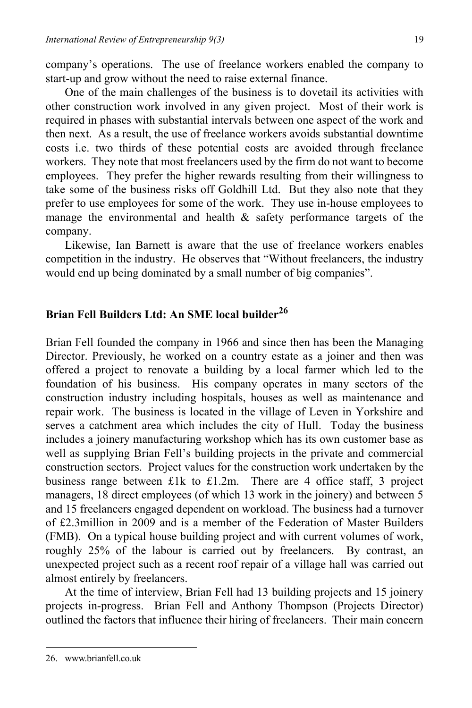company's operations. The use of freelance workers enabled the company to start-up and grow without the need to raise external finance.

One of the main challenges of the business is to dovetail its activities with other construction work involved in any given project. Most of their work is required in phases with substantial intervals between one aspect of the work and then next. As a result, the use of freelance workers avoids substantial downtime costs i.e. two thirds of these potential costs are avoided through freelance workers. They note that most freelancers used by the firm do not want to become employees. They prefer the higher rewards resulting from their willingness to take some of the business risks off Goldhill Ltd. But they also note that they prefer to use employees for some of the work. They use in-house employees to manage the environmental and health  $\&$  safety performance targets of the company.

Likewise, Ian Barnett is aware that the use of freelance workers enables competition in the industry. He observes that "Without freelancers, the industry would end up being dominated by a small number of big companies".

## **Brian Fell Builders Ltd: An SME local builder<sup>26</sup>**

Brian Fell founded the company in 1966 and since then has been the Managing Director. Previously, he worked on a country estate as a joiner and then was offered a project to renovate a building by a local farmer which led to the foundation of his business. His company operates in many sectors of the construction industry including hospitals, houses as well as maintenance and repair work. The business is located in the village of Leven in Yorkshire and serves a catchment area which includes the city of Hull. Today the business includes a joinery manufacturing workshop which has its own customer base as well as supplying Brian Fell's building projects in the private and commercial construction sectors. Project values for the construction work undertaken by the business range between £1k to £1.2m. There are 4 office staff, 3 project managers, 18 direct employees (of which 13 work in the joinery) and between 5 and 15 freelancers engaged dependent on workload. The business had a turnover of £2.3million in 2009 and is a member of the Federation of Master Builders (FMB). On a typical house building project and with current volumes of work, roughly 25% of the labour is carried out by freelancers. By contrast, an unexpected project such as a recent roof repair of a village hall was carried out almost entirely by freelancers.

At the time of interview, Brian Fell had 13 building projects and 15 joinery projects in-progress. Brian Fell and Anthony Thompson (Projects Director) outlined the factors that influence their hiring of freelancers. Their main concern

<sup>26.</sup> www.brianfell.co.uk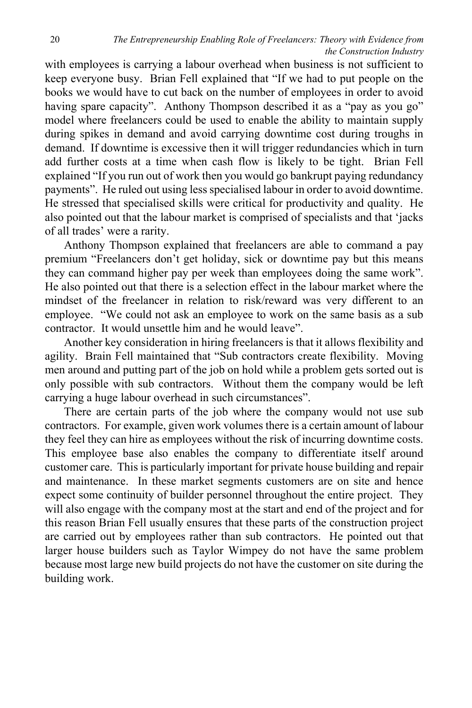with employees is carrying a labour overhead when business is not sufficient to keep everyone busy. Brian Fell explained that "If we had to put people on the books we would have to cut back on the number of employees in order to avoid having spare capacity". Anthony Thompson described it as a "pay as you go" model where freelancers could be used to enable the ability to maintain supply during spikes in demand and avoid carrying downtime cost during troughs in demand. If downtime is excessive then it will trigger redundancies which in turn add further costs at a time when cash flow is likely to be tight. Brian Fell explained "If you run out of work then you would go bankrupt paying redundancy payments". He ruled out using less specialised labour in order to avoid downtime. He stressed that specialised skills were critical for productivity and quality. He also pointed out that the labour market is comprised of specialists and that 'jacks of all trades' were a rarity.

Anthony Thompson explained that freelancers are able to command a pay premium "Freelancers don't get holiday, sick or downtime pay but this means they can command higher pay per week than employees doing the same work". He also pointed out that there is a selection effect in the labour market where the mindset of the freelancer in relation to risk/reward was very different to an employee. "We could not ask an employee to work on the same basis as a sub contractor. It would unsettle him and he would leave".

Another key consideration in hiring freelancers is that it allows flexibility and agility. Brain Fell maintained that "Sub contractors create flexibility. Moving men around and putting part of the job on hold while a problem gets sorted out is only possible with sub contractors. Without them the company would be left carrying a huge labour overhead in such circumstances".

There are certain parts of the job where the company would not use sub contractors. For example, given work volumes there is a certain amount of labour they feel they can hire as employees without the risk of incurring downtime costs. This employee base also enables the company to differentiate itself around customer care. This is particularly important for private house building and repair and maintenance. In these market segments customers are on site and hence expect some continuity of builder personnel throughout the entire project. They will also engage with the company most at the start and end of the project and for this reason Brian Fell usually ensures that these parts of the construction project are carried out by employees rather than sub contractors. He pointed out that larger house builders such as Taylor Wimpey do not have the same problem because most large new build projects do not have the customer on site during the building work.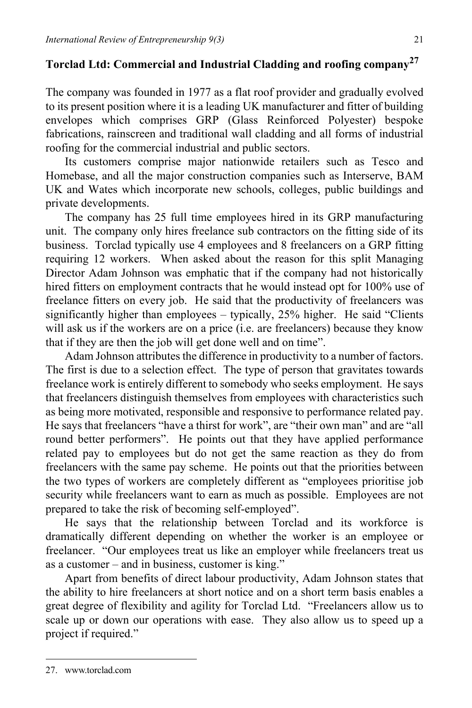## **Torclad Ltd: Commercial and Industrial Cladding and roofing company27**

The company was founded in 1977 as a flat roof provider and gradually evolved to its present position where it is a leading UK manufacturer and fitter of building envelopes which comprises GRP (Glass Reinforced Polyester) bespoke fabrications, rainscreen and traditional wall cladding and all forms of industrial roofing for the commercial industrial and public sectors.

Its customers comprise major nationwide retailers such as Tesco and Homebase, and all the major construction companies such as Interserve, BAM UK and Wates which incorporate new schools, colleges, public buildings and private developments.

The company has 25 full time employees hired in its GRP manufacturing unit. The company only hires freelance sub contractors on the fitting side of its business. Torclad typically use 4 employees and 8 freelancers on a GRP fitting requiring 12 workers. When asked about the reason for this split Managing Director Adam Johnson was emphatic that if the company had not historically hired fitters on employment contracts that he would instead opt for 100% use of freelance fitters on every job. He said that the productivity of freelancers was significantly higher than employees – typically, 25% higher. He said "Clients will ask us if the workers are on a price (i.e. are freelancers) because they know that if they are then the job will get done well and on time".

Adam Johnson attributes the difference in productivity to a number of factors. The first is due to a selection effect. The type of person that gravitates towards freelance work is entirely different to somebody who seeks employment. He says that freelancers distinguish themselves from employees with characteristics such as being more motivated, responsible and responsive to performance related pay. He says that freelancers "have a thirst for work", are "their own man" and are "all round better performers". He points out that they have applied performance related pay to employees but do not get the same reaction as they do from freelancers with the same pay scheme. He points out that the priorities between the two types of workers are completely different as "employees prioritise job security while freelancers want to earn as much as possible. Employees are not prepared to take the risk of becoming self-employed".

He says that the relationship between Torclad and its workforce is dramatically different depending on whether the worker is an employee or freelancer. "Our employees treat us like an employer while freelancers treat us as a customer – and in business, customer is king."

Apart from benefits of direct labour productivity, Adam Johnson states that the ability to hire freelancers at short notice and on a short term basis enables a great degree of flexibility and agility for Torclad Ltd. "Freelancers allow us to scale up or down our operations with ease. They also allow us to speed up a project if required."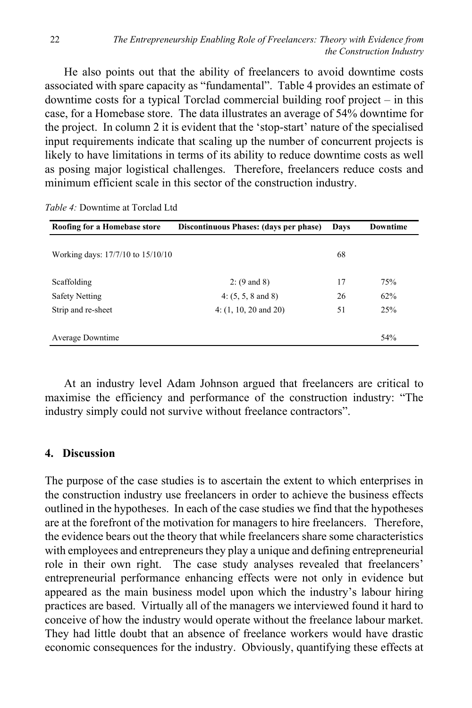He also points out that the ability of freelancers to avoid downtime costs associated with spare capacity as "fundamental". Table 4 provides an estimate of downtime costs for a typical Torclad commercial building roof project – in this case, for a Homebase store. The data illustrates an average of 54% downtime for the project. In column 2 it is evident that the 'stop-start' nature of the specialised input requirements indicate that scaling up the number of concurrent projects is likely to have limitations in terms of its ability to reduce downtime costs as well as posing major logistical challenges. Therefore, freelancers reduce costs and minimum efficient scale in this sector of the construction industry.

| Roofing for a Homebase store      | Discontinuous Phases: (days per phase) | Days | <b>Downtime</b> |
|-----------------------------------|----------------------------------------|------|-----------------|
| Working days: 17/7/10 to 15/10/10 |                                        | 68   |                 |
| Scaffolding                       | 2: $(9 \text{ and } 8)$                | 17   | 75%             |
| <b>Safety Netting</b>             | 4: $(5, 5, 8 \text{ and } 8)$          | 26   | 62%             |
| Strip and re-sheet                | $4: (1, 10, 20 \text{ and } 20)$       | 51   | 25%             |
| Average Downtime                  |                                        |      | 54%             |

*Table 4:* Downtime at Torclad Ltd

At an industry level Adam Johnson argued that freelancers are critical to maximise the efficiency and performance of the construction industry: "The industry simply could not survive without freelance contractors".

#### **4. Discussion**

The purpose of the case studies is to ascertain the extent to which enterprises in the construction industry use freelancers in order to achieve the business effects outlined in the hypotheses. In each of the case studies we find that the hypotheses are at the forefront of the motivation for managers to hire freelancers. Therefore, the evidence bears out the theory that while freelancers share some characteristics with employees and entrepreneurs they play a unique and defining entrepreneurial role in their own right. The case study analyses revealed that freelancers' entrepreneurial performance enhancing effects were not only in evidence but appeared as the main business model upon which the industry's labour hiring practices are based. Virtually all of the managers we interviewed found it hard to conceive of how the industry would operate without the freelance labour market. They had little doubt that an absence of freelance workers would have drastic economic consequences for the industry. Obviously, quantifying these effects at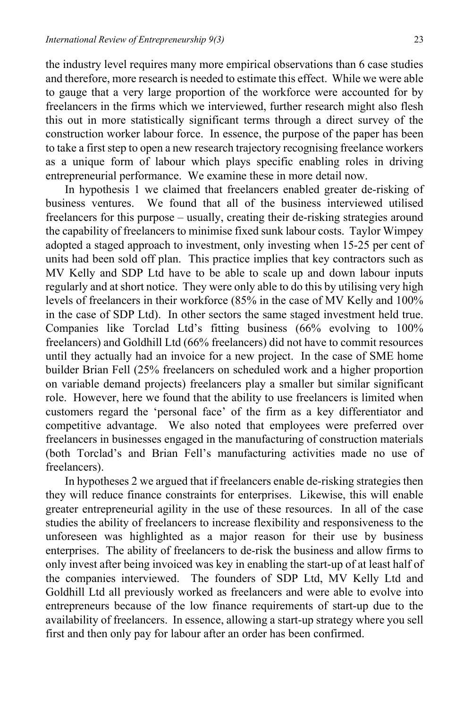the industry level requires many more empirical observations than 6 case studies and therefore, more research is needed to estimate this effect. While we were able to gauge that a very large proportion of the workforce were accounted for by freelancers in the firms which we interviewed, further research might also flesh this out in more statistically significant terms through a direct survey of the construction worker labour force. In essence, the purpose of the paper has been to take a first step to open a new research trajectory recognising freelance workers as a unique form of labour which plays specific enabling roles in driving entrepreneurial performance. We examine these in more detail now.

In hypothesis 1 we claimed that freelancers enabled greater de-risking of business ventures. We found that all of the business interviewed utilised freelancers for this purpose – usually, creating their de-risking strategies around the capability of freelancers to minimise fixed sunk labour costs. Taylor Wimpey adopted a staged approach to investment, only investing when 15-25 per cent of units had been sold off plan. This practice implies that key contractors such as MV Kelly and SDP Ltd have to be able to scale up and down labour inputs regularly and at short notice. They were only able to do this by utilising very high levels of freelancers in their workforce (85% in the case of MV Kelly and 100% in the case of SDP Ltd). In other sectors the same staged investment held true. Companies like Torclad Ltd's fitting business (66% evolving to 100% freelancers) and Goldhill Ltd (66% freelancers) did not have to commit resources until they actually had an invoice for a new project. In the case of SME home builder Brian Fell (25% freelancers on scheduled work and a higher proportion on variable demand projects) freelancers play a smaller but similar significant role. However, here we found that the ability to use freelancers is limited when customers regard the 'personal face' of the firm as a key differentiator and competitive advantage. We also noted that employees were preferred over freelancers in businesses engaged in the manufacturing of construction materials (both Torclad's and Brian Fell's manufacturing activities made no use of freelancers).

In hypotheses 2 we argued that if freelancers enable de-risking strategies then they will reduce finance constraints for enterprises. Likewise, this will enable greater entrepreneurial agility in the use of these resources. In all of the case studies the ability of freelancers to increase flexibility and responsiveness to the unforeseen was highlighted as a major reason for their use by business enterprises. The ability of freelancers to de-risk the business and allow firms to only invest after being invoiced was key in enabling the start-up of at least half of the companies interviewed. The founders of SDP Ltd, MV Kelly Ltd and Goldhill Ltd all previously worked as freelancers and were able to evolve into entrepreneurs because of the low finance requirements of start-up due to the availability of freelancers. In essence, allowing a start-up strategy where you sell first and then only pay for labour after an order has been confirmed.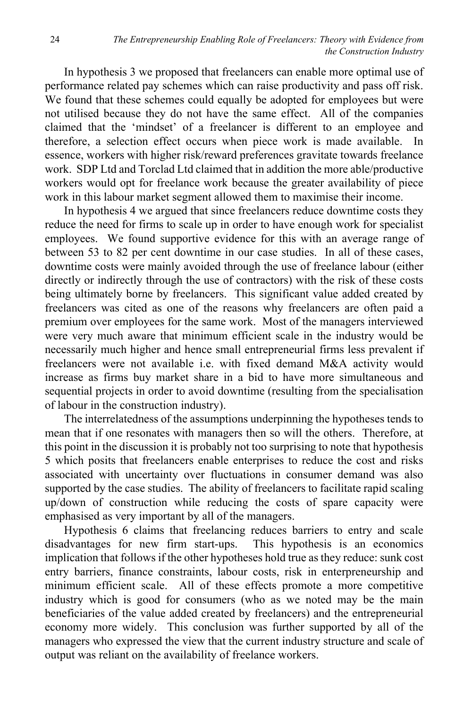In hypothesis 3 we proposed that freelancers can enable more optimal use of performance related pay schemes which can raise productivity and pass off risk. We found that these schemes could equally be adopted for employees but were not utilised because they do not have the same effect. All of the companies claimed that the 'mindset' of a freelancer is different to an employee and therefore, a selection effect occurs when piece work is made available. In essence, workers with higher risk/reward preferences gravitate towards freelance work. SDP Ltd and Torclad Ltd claimed that in addition the more able/productive workers would opt for freelance work because the greater availability of piece work in this labour market segment allowed them to maximise their income.

In hypothesis 4 we argued that since freelancers reduce downtime costs they reduce the need for firms to scale up in order to have enough work for specialist employees. We found supportive evidence for this with an average range of between 53 to 82 per cent downtime in our case studies.In all of these cases, downtime costs were mainly avoided through the use of freelance labour (either directly or indirectly through the use of contractors) with the risk of these costs being ultimately borne by freelancers. This significant value added created by freelancers was cited as one of the reasons why freelancers are often paid a premium over employees for the same work. Most of the managers interviewed were very much aware that minimum efficient scale in the industry would be necessarily much higher and hence small entrepreneurial firms less prevalent if freelancers were not available i.e. with fixed demand M&A activity would increase as firms buy market share in a bid to have more simultaneous and sequential projects in order to avoid downtime (resulting from the specialisation of labour in the construction industry).

The interrelatedness of the assumptions underpinning the hypotheses tends to mean that if one resonates with managers then so will the others. Therefore, at this point in the discussion it is probably not too surprising to note that hypothesis 5 which posits that freelancers enable enterprises to reduce the cost and risks associated with uncertainty over fluctuations in consumer demand was also supported by the case studies. The ability of freelancers to facilitate rapid scaling up/down of construction while reducing the costs of spare capacity were emphasised as very important by all of the managers.

Hypothesis 6 claims that freelancing reduces barriers to entry and scale disadvantages for new firm start-ups. This hypothesis is an economics implication that follows if the other hypotheses hold true as they reduce: sunk cost entry barriers, finance constraints, labour costs, risk in enterpreneurship and minimum efficient scale. All of these effects promote a more competitive industry which is good for consumers (who as we noted may be the main beneficiaries of the value added created by freelancers) and the entrepreneurial economy more widely. This conclusion was further supported by all of the managers who expressed the view that the current industry structure and scale of output was reliant on the availability of freelance workers.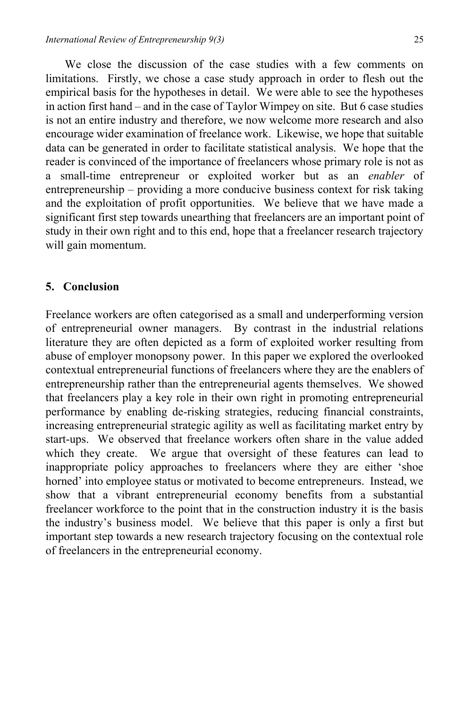We close the discussion of the case studies with a few comments on limitations. Firstly, we chose a case study approach in order to flesh out the empirical basis for the hypotheses in detail. We were able to see the hypotheses in action first hand – and in the case of Taylor Wimpey on site. But 6 case studies is not an entire industry and therefore, we now welcome more research and also encourage wider examination of freelance work. Likewise, we hope that suitable data can be generated in order to facilitate statistical analysis. We hope that the reader is convinced of the importance of freelancers whose primary role is not as a small-time entrepreneur or exploited worker but as an *enabler* of entrepreneurship – providing a more conducive business context for risk taking and the exploitation of profit opportunities. We believe that we have made a significant first step towards unearthing that freelancers are an important point of study in their own right and to this end, hope that a freelancer research trajectory will gain momentum.

#### **5. Conclusion**

Freelance workers are often categorised as a small and underperforming version of entrepreneurial owner managers. By contrast in the industrial relations literature they are often depicted as a form of exploited worker resulting from abuse of employer monopsony power. In this paper we explored the overlooked contextual entrepreneurial functions of freelancers where they are the enablers of entrepreneurship rather than the entrepreneurial agents themselves. We showed that freelancers play a key role in their own right in promoting entrepreneurial performance by enabling de-risking strategies, reducing financial constraints, increasing entrepreneurial strategic agility as well as facilitating market entry by start-ups. We observed that freelance workers often share in the value added which they create. We argue that oversight of these features can lead to inappropriate policy approaches to freelancers where they are either 'shoe horned' into employee status or motivated to become entrepreneurs. Instead, we show that a vibrant entrepreneurial economy benefits from a substantial freelancer workforce to the point that in the construction industry it is the basis the industry's business model. We believe that this paper is only a first but important step towards a new research trajectory focusing on the contextual role of freelancers in the entrepreneurial economy.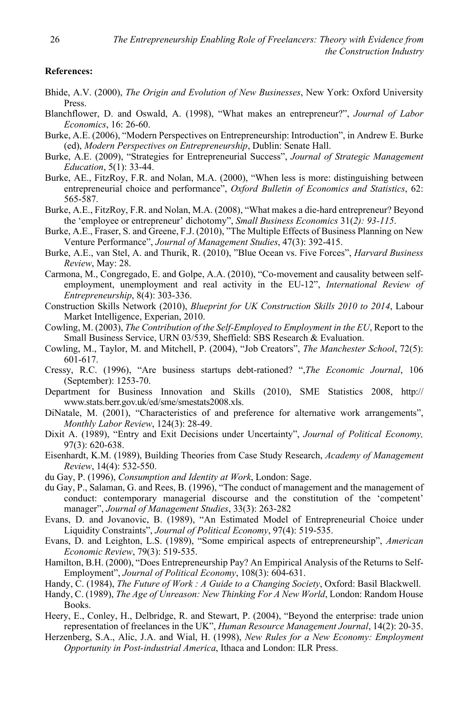#### **References:**

- Bhide, A.V. (2000), *The Origin and Evolution of New Businesses*, New York: Oxford University Press.
- Blanchflower, D. and Oswald, A. (1998), "What makes an entrepreneur?", *Journal of Labor Economics*, 16: 26-60.
- Burke, A.E. (2006), "Modern Perspectives on Entrepreneurship: Introduction", in Andrew E. Burke (ed), *Modern Perspectives on Entrepreneurship*, Dublin: Senate Hall.
- Burke, A.E. (2009), "Strategies for Entrepreneurial Success", *Journal of Strategic Management Education*, 5(1): 33-44.
- Burke, AE., FitzRoy, F.R. and Nolan, M.A. (2000), "When less is more: distinguishing between entrepreneurial choice and performance", *Oxford Bulletin of Economics and Statistics*, 62: 565-587.
- Burke, A.E., FitzRoy, F.R. and Nolan, M.A. (2008), "What makes a die-hard entrepreneur? Beyond the 'employee or entrepreneur' dichotomy", *Small Business Economics* 31(*2): 93-115*.
- Burke, A.E., Fraser, S. and Greene, F.J. (2010), "The Multiple Effects of Business Planning on New Venture Performance", *Journal of Management Studies*, 47(3): 392-415.
- Burke, A.E., van Stel, A. and Thurik, R. (2010), "Blue Ocean vs. Five Forces", *Harvard Business Review*, May: 28.
- Carmona, M., Congregado, E. and Golpe, A.A. (2010), "Co-movement and causality between selfemployment, unemployment and real activity in the EU-12", *International Review of Entrepreneurship*, 8(4): 303-336.
- Construction Skills Network (2010), *Blueprint for UK Construction Skills 2010 to 2014*, Labour Market Intelligence, Experian, 2010.
- Cowling, M. (2003), *The Contribution of the Self-Employed to Employment in the EU*, Report to the Small Business Service, URN 03/539, Sheffield: SBS Research & Evaluation.
- Cowling, M., Taylor, M. and Mitchell, P. (2004), "Job Creators", *The Manchester School*, 72(5): 601-617.
- Cressy, R.C. (1996), "Are business startups debt-rationed? ",*The Economic Journal*, 106 (September): 1253-70.
- Department for Business Innovation and Skills (2010), SME Statistics 2008, http:// www.stats.berr.gov.uk/ed/sme/smestats2008.xls.
- DiNatale, M. (2001), "Characteristics of and preference for alternative work arrangements", *Monthly Labor Review*, 124(3): 28-49.
- Dixit A. (1989), "Entry and Exit Decisions under Uncertainty", *Journal of Political Economy,* 97(3): 620-638.
- Eisenhardt, K.M. (1989), Building Theories from Case Study Research, *Academy of Management Review*, 14(4): 532-550.
- du Gay, P. (1996), *Consumption and Identity at Work*, London: Sage.
- du Gay, P., Salaman, G. and Rees, B. (1996), "The conduct of management and the management of conduct: contemporary managerial discourse and the constitution of the 'competent' manager", *Journal of Management Studies*, 33(3): 263-282
- Evans, D. and Jovanovic, B. (1989), "An Estimated Model of Entrepreneurial Choice under Liquidity Constraints", *Journal of Political Economy*, 97(4): 519-535.
- Evans, D. and Leighton, L.S. (1989), "Some empirical aspects of entrepreneurship", *American Economic Review*, 79(3): 519-535.
- Hamilton, B.H. (2000), "Does Entrepreneurship Pay? An Empirical Analysis of the Returns to Self-Employment", *Journal of Political Economy*, 108(3): 604-631.
- Handy, C. (1984), *The Future of Work : A Guide to a Changing Society*, Oxford: Basil Blackwell.
- Handy, C. (1989), *The Age of Unreason: New Thinking For A New World*, London: Random House Books.
- Heery, E., Conley, H., Delbridge, R. and Stewart, P. (2004), "Beyond the enterprise: trade union representation of freelances in the UK", *Human Resource Management Journal*, 14(2): 20-35.
- Herzenberg, S.A., Alic, J.A. and Wial, H. (1998), *New Rules for a New Economy: Employment Opportunity in Post-industrial America*, Ithaca and London: ILR Press.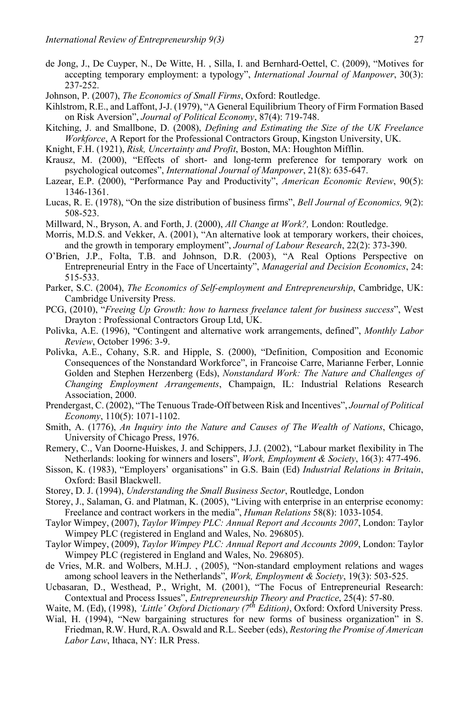- de Jong, J., De Cuyper, N., De Witte, H. , Silla, I. and Bernhard-Oettel, C. (2009), "Motives for accepting temporary employment: a typology", *International Journal of Manpower*, 30(3): 237-252.
- Johnson, P. (2007), *The Economics of Small Firms*, Oxford: Routledge.
- Kihlstrom, R.E., and Laffont, J-J. (1979), "A General Equilibrium Theory of Firm Formation Based on Risk Aversion", *Journal of Political Economy*, 87(4): 719-748.
- Kitching, J. and Smallbone, D. (2008), *Defining and Estimating the Size of the UK Freelance Workforce*, A Report for the Professional Contractors Group, Kingston University, UK.
- Knight, F.H. (1921), *Risk, Uncertainty and Profit*, Boston, MA: Houghton Mifflin.
- Krausz, M. (2000), "Effects of short- and long-term preference for temporary work on psychological outcomes", *International Journal of Manpower*, 21(8): 635-647.
- Lazear, E.P. (2000), "Performance Pay and Productivity", *American Economic Review*, 90(5): 1346-1361.
- Lucas, R. E. (1978), "On the size distribution of business firms", *Bell Journal of Economics,* 9(2): 508-523.
- Millward, N., Bryson, A. and Forth, J. (2000), *All Change at Work?,* London: Routledge.
- Morris, M.D.S. and Vekker, A. (2001), "An alternative look at temporary workers, their choices, and the growth in temporary employment", *Journal of Labour Research*, 22(2): 373-390.
- O'Brien, J.P., Folta, T.B. and Johnson, D.R. (2003), "A Real Options Perspective on Entrepreneurial Entry in the Face of Uncertainty", *Managerial and Decision Economics*, 24: 515-533.
- Parker, S.C. (2004), *The Economics of Self-employment and Entrepreneurship*, Cambridge, UK: Cambridge University Press.
- PCG, (2010), "*Freeing Up Growth: how to harness freelance talent for business success*", West Drayton : Professional Contractors Group Ltd, UK.
- Polivka, A.E. (1996), "Contingent and alternative work arrangements, defined", *Monthly Labor Review*, October 1996: 3-9.
- Polivka, A.E., Cohany, S.R. and Hipple, S. (2000), "Definition, Composition and Economic Consequences of the Nonstandard Workforce", in Francoise Carre, Marianne Ferber, Lonnie Golden and Stephen Herzenberg (Eds), *Nonstandard Work: The Nature and Challenges of Changing Employment Arrangements*, Champaign, IL: Industrial Relations Research Association, 2000.
- Prendergast, C. (2002), "The Tenuous Trade-Off between Risk and Incentives", *Journal of Political Economy*, 110(5): 1071-1102.
- Smith, A. (1776), *An Inquiry into the Nature and Causes of The Wealth of Nations*, Chicago, University of Chicago Press, 1976.
- Remery, C., Van Doorne-Huiskes, J. and Schippers, J.J. (2002), "Labour market flexibility in The Netherlands: looking for winners and losers", *Work, Employment & Society*, 16(3): 477-496.
- Sisson, K. (1983), "Employers' organisations" in G.S. Bain (Ed) *Industrial Relations in Britain*, Oxford: Basil Blackwell.
- Storey, D. J. (1994), *Understanding the Small Business Sector*, Routledge, London
- Storey, J., Salaman, G. and Platman, K. (2005), "Living with enterprise in an enterprise economy: Freelance and contract workers in the media", *Human Relations* 58(8): 1033-1054.
- Taylor Wimpey, (2007), *Taylor Wimpey PLC: Annual Report and Accounts 2007*, London: Taylor Wimpey PLC (registered in England and Wales, No. 296805).
- Taylor Wimpey, (2009), *Taylor Wimpey PLC: Annual Report and Accounts 2009*, London: Taylor Wimpey PLC (registered in England and Wales, No. 296805).
- de Vries, M.R. and Wolbers, M.H.J. , (2005), "Non-standard employment relations and wages among school leavers in the Netherlands", *Work, Employment & Society*, 19(3): 503-525.
- Ucbasaran, D., Westhead, P., Wright, M. (2001), "The Focus of Entrepreneurial Research: Contextual and Process Issues", *Entrepreneurship Theory and Practice*, 25(4): 57-80.

Waite, M. (Ed), (1998), *'Little' Oxford Dictionary (7<sup>th</sup> Edition)*, Oxford: Oxford University Press. Wial, H. (1994), "New bargaining structures for new forms of business organization" in S.

Friedman, R.W. Hurd, R.A. Oswald and R.L. Seeber (eds), *Restoring the Promise of American Labor Law*, Ithaca, NY: ILR Press.